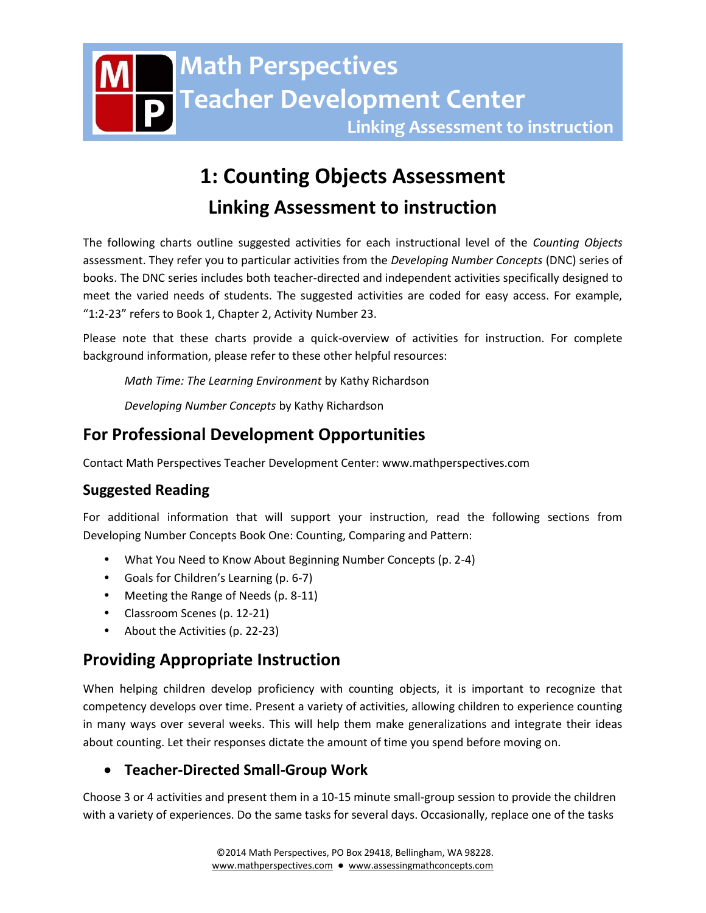# **1: Counting Objects Assessment Linking Assessment to instruction**

The following charts outline suggested activities for each instructional level of the *Counting Objects* assessment. They refer you to particular activities from the *Developing Number Concepts* (DNC) series of books. The DNC series includes both teacher-directed and independent activities specifically designed to meet the varied needs of students. The suggested activities are coded for easy access. For example, "1:2-23" refers to Book 1, Chapter 2, Activity Number 23.

Please note that these charts provide a quick-overview of activities for instruction. For complete background information, please refer to these other helpful resources:

*Math Time: The Learning Environment* by Kathy Richardson

*Developing Number Concepts* by Kathy Richardson

# **For Professional Development Opportunities**

Contact Math Perspectives Teacher Development Center: www.mathperspectives.com

# **Suggested Reading**

For additional information that will support your instruction, read the following sections from Developing Number Concepts Book One: Counting, Comparing and Pattern:

- What You Need to Know About Beginning Number Concepts (p. 2-4)
- Goals for Children's Learning (p. 6-7)
- Meeting the Range of Needs (p. 8-11)
- Classroom Scenes (p. 12-21)
- About the Activities (p. 22-23)

# **Providing Appropriate Instruction**

When helping children develop proficiency with counting objects, it is important to recognize that competency develops over time. Present a variety of activities, allowing children to experience counting in many ways over several weeks. This will help them make generalizations and integrate their ideas about counting. Let their responses dictate the amount of time you spend before moving on.

# **Teacher-Directed Small-Group Work**

Choose 3 or 4 activities and present them in a 10-15 minute small-group session to provide the children with a variety of experiences. Do the same tasks for several days. Occasionally, replace one of the tasks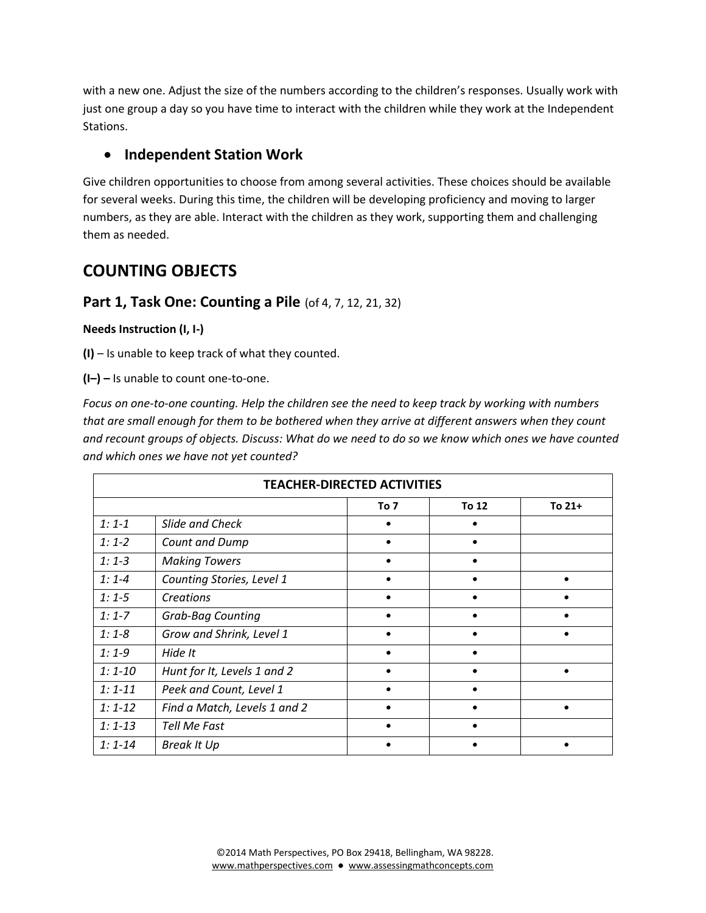with a new one. Adjust the size of the numbers according to the children's responses. Usually work with just one group a day so you have time to interact with the children while they work at the Independent Stations.

# **Independent Station Work**

Give children opportunities to choose from among several activities. These choices should be available for several weeks. During this time, the children will be developing proficiency and moving to larger numbers, as they are able. Interact with the children as they work, supporting them and challenging them as needed.

# **COUNTING OBJECTS**

# **Part 1, Task One: Counting a Pile** (of 4, 7, 12, 21, 32)

## **Needs Instruction (I, I-)**

**(I)** – Is unable to keep track of what they counted.

**(I–) –** Is unable to count one-to-one.

*Focus on one-to-one counting. Help the children see the need to keep track by working with numbers that are small enough for them to be bothered when they arrive at different answers when they count and recount groups of objects. Discuss: What do we need to do so we know which ones we have counted and which ones we have not yet counted?* 

|             |                              | <b>TEACHER-DIRECTED ACTIVITIES</b> |       |        |
|-------------|------------------------------|------------------------------------|-------|--------|
|             |                              | To 7                               | To 12 | To 21+ |
| $1:1-1$     | Slide and Check              |                                    |       |        |
| $1:1-2$     | Count and Dump               |                                    |       |        |
| $1:1-3$     | <b>Making Towers</b>         |                                    |       |        |
| $1:1 - 4$   | Counting Stories, Level 1    | ٠                                  |       |        |
| $1:1-5$     | Creations                    |                                    |       |        |
| $1:1 - 7$   | <b>Grab-Bag Counting</b>     |                                    |       |        |
| $1:1-8$     | Grow and Shrink, Level 1     |                                    |       |        |
| $1:1-9$     | Hide It                      |                                    |       |        |
| $1:1 - 10$  | Hunt for It, Levels 1 and 2  |                                    |       |        |
| $1: 1 - 11$ | Peek and Count, Level 1      |                                    |       |        |
| $1:1 - 12$  | Find a Match, Levels 1 and 2 |                                    |       |        |
| $1: 1 - 13$ | Tell Me Fast                 |                                    |       |        |
| $1: 1 - 14$ | <b>Break It Up</b>           |                                    |       |        |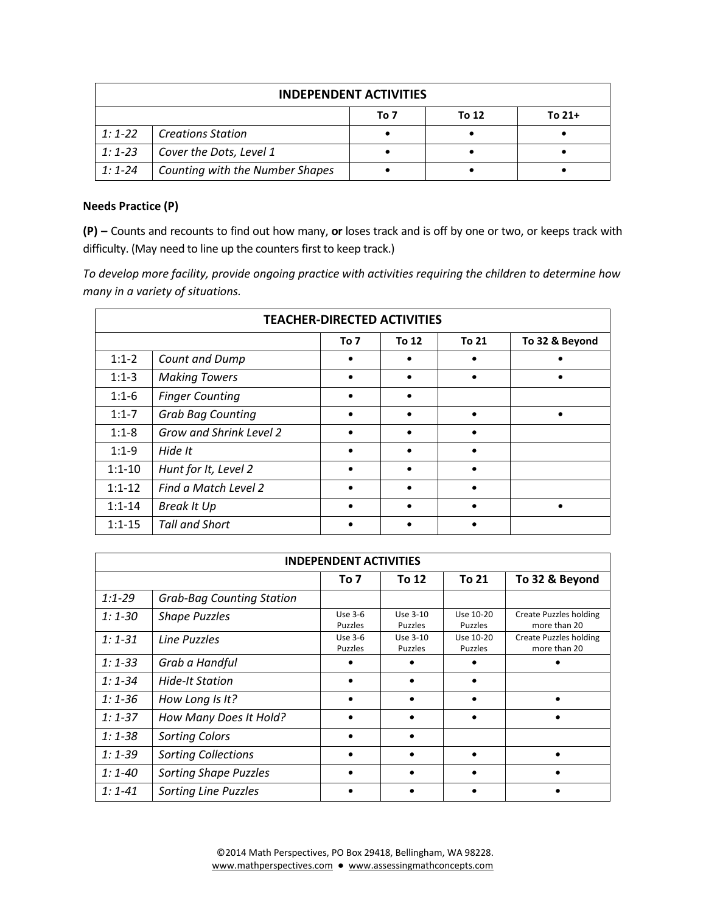|            |                                 | <b>INDEPENDENT ACTIVITIES</b> |       |          |
|------------|---------------------------------|-------------------------------|-------|----------|
|            |                                 | To 7                          | To 12 | To $21+$ |
| $1:1-22$   | <b>Creations Station</b>        |                               |       |          |
| $1:1 - 23$ | Cover the Dots, Level 1         |                               |       |          |
| $1:1 - 24$ | Counting with the Number Shapes |                               |       |          |

## **Needs Practice (P)**

**(P) –** Counts and recounts to find out how many, **or** loses track and is off by one or two, or keeps track with difficulty. (May need to line up the counters first to keep track.)

*To develop more facility, provide ongoing practice with activities requiring the children to determine how many in a variety of situations.* 

|            | <b>TEACHER-DIRECTED ACTIVITIES</b> |           |           |       |                |
|------------|------------------------------------|-----------|-----------|-------|----------------|
|            |                                    | To 7      | To 12     | To 21 | To 32 & Beyond |
| $1:1-2$    | Count and Dump                     | $\bullet$ | $\bullet$ |       | $\bullet$      |
| $1:1-3$    | <b>Making Towers</b>               | $\bullet$ | $\bullet$ |       | $\bullet$      |
| $1:1-6$    | <b>Finger Counting</b>             | $\bullet$ | $\bullet$ |       |                |
| $1:1-7$    | <b>Grab Bag Counting</b>           | $\bullet$ | $\bullet$ |       | $\bullet$      |
| $1:1-8$    | Grow and Shrink Level 2            |           | $\bullet$ |       |                |
| $1:1-9$    | Hide It                            |           | $\bullet$ |       |                |
| $1:1 - 10$ | Hunt for It, Level 2               |           | $\bullet$ |       |                |
| $1:1-12$   | Find a Match Level 2               |           | $\bullet$ |       |                |
| $1:1 - 14$ | <b>Break It Up</b>                 |           | $\bullet$ |       | $\bullet$      |
| $1:1 - 15$ | <b>Tall and Short</b>              |           |           |       |                |

|             | <b>INDEPENDENT ACTIVITIES</b>    |                           |                     |                      |                                        |
|-------------|----------------------------------|---------------------------|---------------------|----------------------|----------------------------------------|
|             |                                  | To 7                      | To 12               | <b>To 21</b>         | To 32 & Beyond                         |
| $1:1 - 29$  | <b>Grab-Bag Counting Station</b> |                           |                     |                      |                                        |
| $1:1-30$    | <b>Shape Puzzles</b>             | Use 3-6<br><b>Puzzles</b> | Use 3-10<br>Puzzles | Use 10-20<br>Puzzles | Create Puzzles holding<br>more than 20 |
| $1: 1 - 31$ | Line Puzzles                     | Use 3-6<br><b>Puzzles</b> | Use 3-10<br>Puzzles | Use 10-20<br>Puzzles | Create Puzzles holding<br>more than 20 |
| $1:1-33$    | Grab a Handful                   |                           |                     |                      |                                        |
| $1: 1 - 34$ | Hide-It Station                  |                           |                     |                      |                                        |
| $1:1 - 36$  | How Long Is It?                  |                           |                     |                      |                                        |
| $1:1-37$    | How Many Does It Hold?           |                           |                     |                      |                                        |
| $1:1 - 38$  | <b>Sorting Colors</b>            |                           |                     |                      |                                        |
| $1:1-39$    | <b>Sorting Collections</b>       |                           |                     |                      |                                        |
| $1:1 - 40$  | <b>Sorting Shape Puzzles</b>     |                           |                     |                      |                                        |
| $1: 1 - 41$ | <b>Sorting Line Puzzles</b>      |                           |                     |                      |                                        |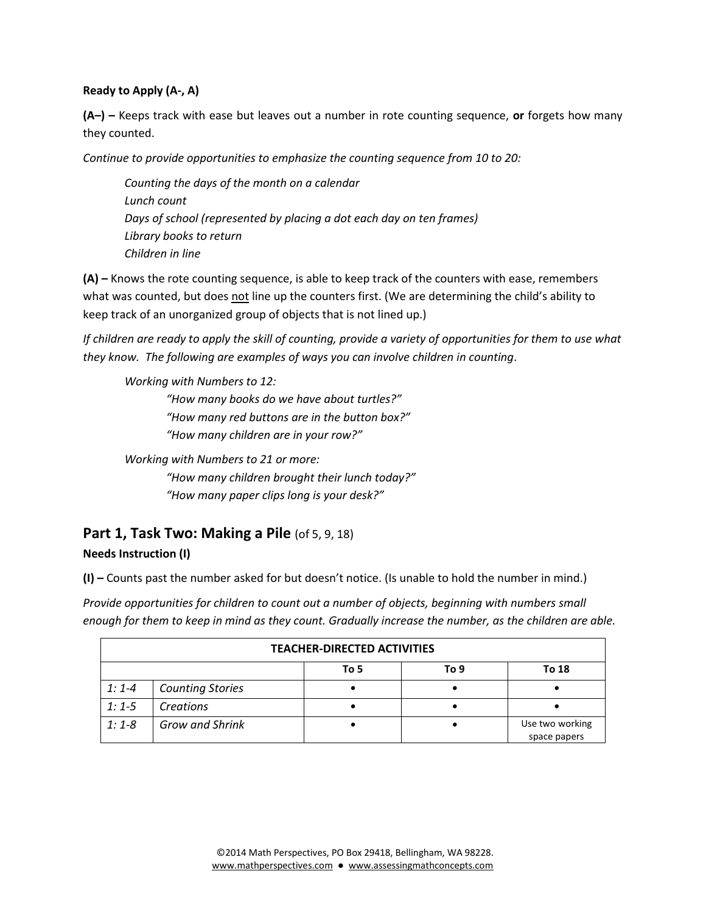## **Ready to Apply (A-, A)**

**(A–) –** Keeps track with ease but leaves out a number in rote counting sequence, **or** forgets how many they counted.

*Continue to provide opportunities to emphasize the counting sequence from 10 to 20:* 

*Counting the days of the month on a calendar Lunch count Days of school (represented by placing a dot each day on ten frames) Library books to return Children in line*

**(A) –** Knows the rote counting sequence, is able to keep track of the counters with ease, remembers what was counted, but does not line up the counters first. (We are determining the child's ability to keep track of an unorganized group of objects that is not lined up.)

*If children are ready to apply the skill of counting, provide a variety of opportunities for them to use what they know. The following are examples of ways you can involve children in counting*.

*Working with Numbers to 12:*

*"How many books do we have about turtles?" "How many red buttons are in the button box?" "How many children are in your row?"*

*Working with Numbers to 21 or more: "How many children brought their lunch today?" "How many paper clips long is your desk?"*

# **Part 1, Task Two: Making a Pile** (of 5, 9, 18)

# **Needs Instruction (I)**

**(I) –** Counts past the number asked for but doesn't notice. (Is unable to hold the number in mind.)

*Provide opportunities for children to count out a number of objects, beginning with numbers small enough for them to keep in mind as they count. Gradually increase the number, as the children are able.*

|         |                         | <b>TEACHER-DIRECTED ACTIVITIES</b> |      |                                 |
|---------|-------------------------|------------------------------------|------|---------------------------------|
|         |                         | To 5                               | To 9 | To 18                           |
| $1:1-4$ | <b>Counting Stories</b> |                                    |      |                                 |
| $1:1-5$ | Creations               |                                    |      |                                 |
| $1:1-8$ | <b>Grow and Shrink</b>  |                                    |      | Use two working<br>space papers |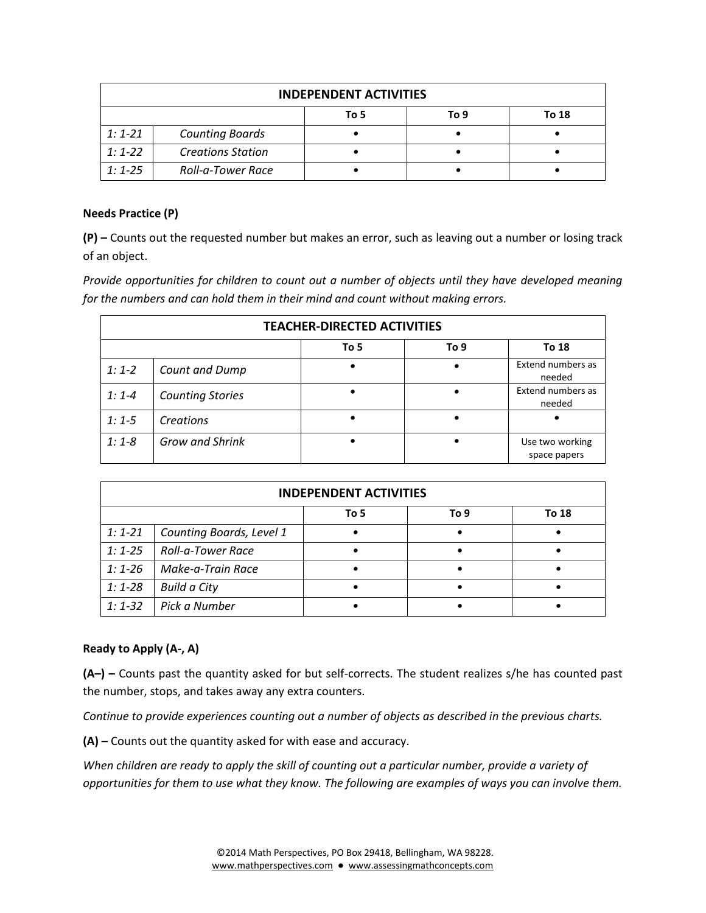|            |                          | <b>INDEPENDENT ACTIVITIES</b> |      |       |
|------------|--------------------------|-------------------------------|------|-------|
|            |                          | To 5                          | To 9 | To 18 |
| $1:1 - 21$ | <b>Counting Boards</b>   |                               |      |       |
| $1:1-22$   | <b>Creations Station</b> |                               |      |       |
| $1:1 - 25$ | Roll-a-Tower Race        |                               |      |       |

#### **Needs Practice (P)**

**(P) –** Counts out the requested number but makes an error, such as leaving out a number or losing track of an object.

*Provide opportunities for children to count out a number of objects until they have developed meaning for the numbers and can hold them in their mind and count without making errors.* 

|           |                         | <b>TEACHER-DIRECTED ACTIVITIES</b> |      |                                 |
|-----------|-------------------------|------------------------------------|------|---------------------------------|
|           |                         | To 5                               | To 9 | To 18                           |
| $1:1-2$   | Count and Dump          |                                    |      | Extend numbers as<br>needed     |
| $1:1 - 4$ | <b>Counting Stories</b> |                                    |      | Extend numbers as<br>needed     |
| $1:1-5$   | Creations               |                                    |      |                                 |
| $1:1-8$   | <b>Grow and Shrink</b>  |                                    |      | Use two working<br>space papers |

|            |                          | <b>INDEPENDENT ACTIVITIES</b> |      |       |
|------------|--------------------------|-------------------------------|------|-------|
|            |                          | To 5                          | To 9 | To 18 |
| $1:1-21$   | Counting Boards, Level 1 |                               |      |       |
| $1:1 - 25$ | Roll-a-Tower Race        |                               |      |       |
| $1:1 - 26$ | Make-a-Train Race        |                               |      |       |
| $1:1-28$   | <b>Build a City</b>      |                               |      |       |
| $1:1-32$   | Pick a Number            |                               |      |       |

# **Ready to Apply (A-, A)**

**(A–) –** Counts past the quantity asked for but self-corrects. The student realizes s/he has counted past the number, stops, and takes away any extra counters.

*Continue to provide experiences counting out a number of objects as described in the previous charts.*

**(A) –** Counts out the quantity asked for with ease and accuracy.

*When children are ready to apply the skill of counting out a particular number, provide a variety of opportunities for them to use what they know. The following are examples of ways you can involve them.*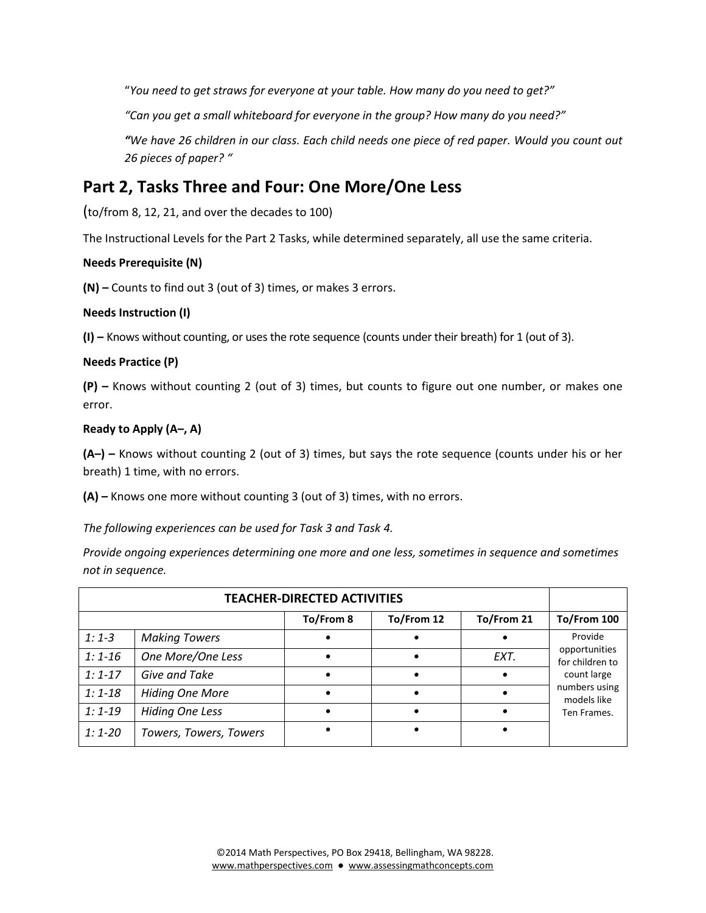"*You need to get straws for everyone at your table. How many do you need to get?"*

*"Can you get a small whiteboard for everyone in the group? How many do you need?"*

*"We have 26 children in our class. Each child needs one piece of red paper. Would you count out 26 pieces of paper? "*

# **Part 2, Tasks Three and Four: One More/One Less**

(to/from 8, 12, 21, and over the decades to 100)

The Instructional Levels for the Part 2 Tasks, while determined separately, all use the same criteria.

## **Needs Prerequisite (N)**

**(N) –** Counts to find out 3 (out of 3) times, or makes 3 errors.

#### **Needs Instruction (I)**

**(I) –** Knows without counting, or uses the rote sequence (counts under their breath) for 1 (out of 3).

## **Needs Practice (P)**

**(P) –** Knows without counting 2 (out of 3) times, but counts to figure out one number, or makes one error.

## **Ready to Apply (A–, A)**

**(A–) –** Knows without counting 2 (out of 3) times, but says the rote sequence (counts under his or her breath) 1 time, with no errors.

**(A) –** Knows one more without counting 3 (out of 3) times, with no errors.

*The following experiences can be used for Task 3 and Task 4.*

*Provide ongoing experiences determining one more and one less, sometimes in sequence and sometimes not in sequence.*

|            |                        | <b>TEACHER-DIRECTED ACTIVITIES</b> |            |            |                                  |
|------------|------------------------|------------------------------------|------------|------------|----------------------------------|
|            |                        | To/From 8                          | To/From 12 | To/From 21 | To/From 100                      |
| $1:1-3$    | <b>Making Towers</b>   |                                    |            |            | Provide                          |
| $1:1 - 16$ | One More/One Less      |                                    |            | EXT.       | opportunities<br>for children to |
| $1:1-17$   | Give and Take          |                                    |            |            | count large                      |
| $1:1-18$   | <b>Hiding One More</b> |                                    |            |            | numbers using<br>models like     |
| $1:1-19$   | <b>Hiding One Less</b> |                                    |            |            | Ten Frames.                      |
| $1:1 - 20$ | Towers, Towers, Towers |                                    |            |            |                                  |